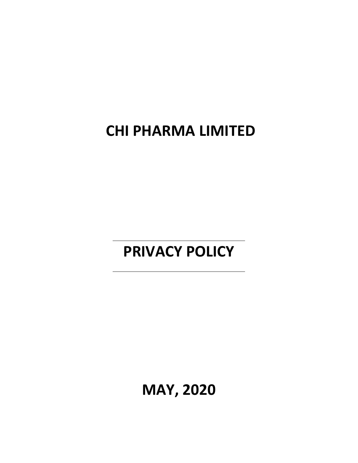# **CHI PHARMA LIMITED**

# **PRIVACY POLICY**

**MAY, 2020**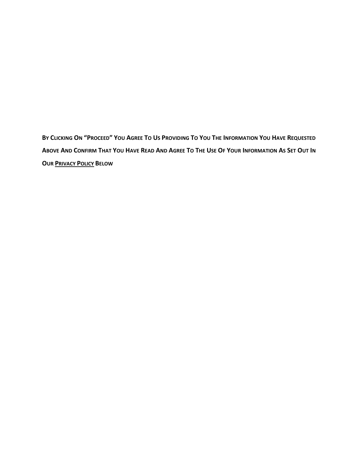BY CLICKING ON "PROCEED" YOU AGREE TO US PROVIDING TO YOU THE INFORMATION YOU HAVE REQUESTED ABOVE AND CONFIRM THAT YOU HAVE READ AND AGREE TO THE USE OF YOUR INFORMATION AS SET OUT IN **OUR PRIVACY POLICY BELOW**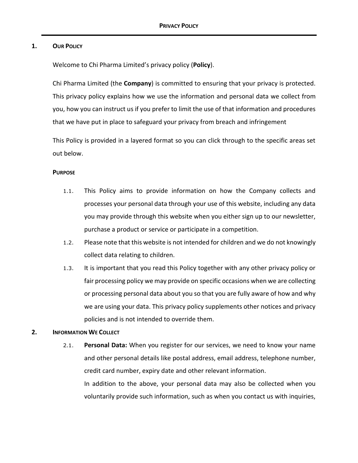## **1. OUR POLICY**

Welcome to Chi Pharma Limited's privacy policy (**Policy**).

Chi Pharma Limited (the **Company**) is committed to ensuring that your privacy is protected. This privacy policy explains how we use the information and personal data we collect from you, how you can instruct us if you prefer to limit the use of that information and procedures that we have put in place to safeguard your privacy from breach and infringement

This Policy is provided in a layered format so you can click through to the specific areas set out below.

## **PURPOSE**

- 1.1. This Policy aims to provide information on how the Company collects and processes your personal data through your use of this website, including any data you may provide through this website when you either sign up to our newsletter, purchase a product or service or participate in a competition.
- 1.2. Please note that this website is not intended for children and we do not knowingly collect data relating to children.
- 1.3. It is important that you read this Policy together with any other privacy policy or fair processing policy we may provide on specific occasions when we are collecting or processing personal data about you so that you are fully aware of how and why we are using your data. This privacy policy supplements other notices and privacy policies and is not intended to override them.

#### **2. INFORMATION WE COLLECT**

2.1. **Personal Data:** When you register for our services, we need to know your name and other personal details like postal address, email address, telephone number, credit card number, expiry date and other relevant information. In addition to the above, your personal data may also be collected when you voluntarily provide such information, such as when you contact us with inquiries,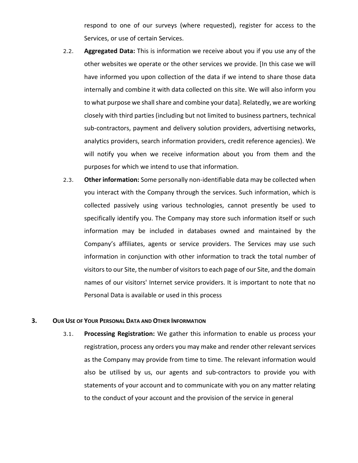respond to one of our surveys (where requested), register for access to the Services, or use of certain Services.

- 2.2. **Aggregated Data:** This is information we receive about you if you use any of the other websites we operate or the other services we provide. [In this case we will have informed you upon collection of the data if we intend to share those data internally and combine it with data collected on this site. We will also inform you to what purpose we shall share and combine your data]. Relatedly, we are working closely with third parties (including but not limited to business partners, technical sub-contractors, payment and delivery solution providers, advertising networks, analytics providers, search information providers, credit reference agencies). We will notify you when we receive information about you from them and the purposes for which we intend to use that information.
- 2.3. **Other information:** Some personally non-identifiable data may be collected when you interact with the Company through the services. Such information, which is collected passively using various technologies, cannot presently be used to specifically identify you. The Company may store such information itself or such information may be included in databases owned and maintained by the Company's affiliates, agents or service providers. The Services may use such information in conjunction with other information to track the total number of visitors to our Site, the number of visitors to each page of our Site, and the domain names of our visitors' Internet service providers. It is important to note that no Personal Data is available or used in this process

#### **3. OUR USE OF YOUR PERSONAL DATA AND OTHER INFORMATION**

3.1. **Processing Registration:** We gather this information to enable us process your registration, process any orders you may make and render other relevant services as the Company may provide from time to time. The relevant information would also be utilised by us, our agents and sub-contractors to provide you with statements of your account and to communicate with you on any matter relating to the conduct of your account and the provision of the service in general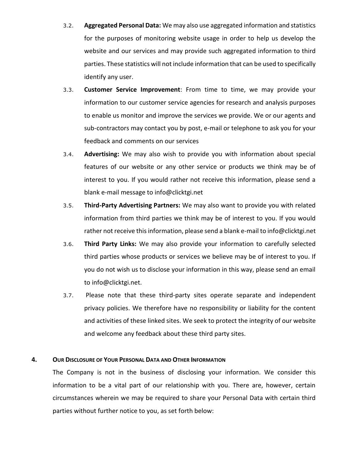- 3.2. **Aggregated Personal Data:** We may also use aggregated information and statistics for the purposes of monitoring website usage in order to help us develop the website and our services and may provide such aggregated information to third parties. These statistics will not include information that can be used to specifically identify any user.
- 3.3. **Customer Service Improvement**: From time to time, we may provide your information to our customer service agencies for research and analysis purposes to enable us monitor and improve the services we provide. We or our agents and sub-contractors may contact you by post, e-mail or telephone to ask you for your feedback and comments on our services
- 3.4. **Advertising:** We may also wish to provide you with information about special features of our website or any other service or products we think may be of interest to you. If you would rather not receive this information, please send a blank e-mail message to info@clicktgi.net
- 3.5. **Third-Party Advertising Partners:** We may also want to provide you with related information from third parties we think may be of interest to you. If you would rather not receive this information, please send a blank e-mail to info@clicktgi.net
- 3.6. **Third Party Links:** We may also provide your information to carefully selected third parties whose products or services we believe may be of interest to you. If you do not wish us to disclose your information in this way, please send an email to info@clicktgi.net.
- 3.7. Please note that these third-party sites operate separate and independent privacy policies. We therefore have no responsibility or liability for the content and activities of these linked sites. We seek to protect the integrity of our website and welcome any feedback about these third party sites.

#### **4. OUR DISCLOSURE OF YOUR PERSONAL DATA AND OTHER INFORMATION**

The Company is not in the business of disclosing your information. We consider this information to be a vital part of our relationship with you. There are, however, certain circumstances wherein we may be required to share your Personal Data with certain third parties without further notice to you, as set forth below: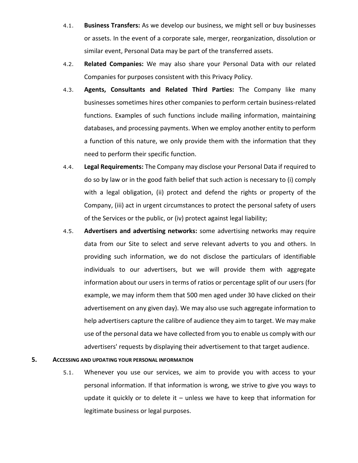- 4.1. **Business Transfers:** As we develop our business, we might sell or buy businesses or assets. In the event of a corporate sale, merger, reorganization, dissolution or similar event, Personal Data may be part of the transferred assets.
- 4.2. **Related Companies:** We may also share your Personal Data with our related Companies for purposes consistent with this Privacy Policy.
- 4.3. **Agents, Consultants and Related Third Parties:** The Company like many businesses sometimes hires other companies to perform certain business-related functions. Examples of such functions include mailing information, maintaining databases, and processing payments. When we employ another entity to perform a function of this nature, we only provide them with the information that they need to perform their specific function.
- 4.4. **Legal Requirements:** The Company may disclose your Personal Data if required to do so by law or in the good faith belief that such action is necessary to (i) comply with a legal obligation, (ii) protect and defend the rights or property of the Company, (iii) act in urgent circumstances to protect the personal safety of users of the Services or the public, or (iv) protect against legal liability;
- 4.5. **Advertisers and advertising networks:** some advertising networks may require data from our Site to select and serve relevant adverts to you and others. In providing such information, we do not disclose the particulars of identifiable individuals to our advertisers, but we will provide them with aggregate information about our users in terms of ratios or percentage split of our users (for example, we may inform them that 500 men aged under 30 have clicked on their advertisement on any given day). We may also use such aggregate information to help advertisers capture the calibre of audience they aim to target. We may make use of the personal data we have collected from you to enable us comply with our advertisers' requests by displaying their advertisement to that target audience.

#### **5. ACCESSING AND UPDATING YOUR PERSONAL INFORMATION**

5.1. Whenever you use our services, we aim to provide you with access to your personal information. If that information is wrong, we strive to give you ways to update it quickly or to delete it  $-$  unless we have to keep that information for legitimate business or legal purposes.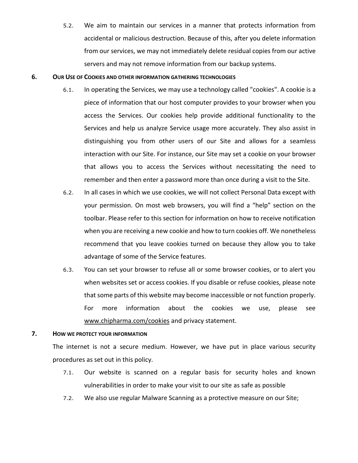5.2. We aim to maintain our services in a manner that protects information from accidental or malicious destruction. Because of this, after you delete information from our services, we may not immediately delete residual copies from our active servers and may not remove information from our backup systems.

#### **6. OUR USE OF COOKIES AND OTHER INFORMATION GATHERING TECHNOLOGIES**

- 6.1. In operating the Services, we may use a technology called "cookies". A cookie is a piece of information that our host computer provides to your browser when you access the Services. Our cookies help provide additional functionality to the Services and help us analyze Service usage more accurately. They also assist in distinguishing you from other users of our Site and allows for a seamless interaction with our Site. For instance, our Site may set a cookie on your browser that allows you to access the Services without necessitating the need to remember and then enter a password more than once during a visit to the Site.
- 6.2. In all cases in which we use cookies, we will not collect Personal Data except with your permission. On most web browsers, you will find a "help" section on the toolbar. Please refer to this section for information on how to receive notification when you are receiving a new cookie and how to turn cookies off. We nonetheless recommend that you leave cookies turned on because they allow you to take advantage of some of the Service features.
- 6.3. You can set your browser to refuse all or some browser cookies, or to alert you when websites set or access cookies. If you disable or refuse cookies, please note that some parts of this website may become inaccessible or not function properly. For more information about the cookies we use, please see [www.chipharma.com/cookies](http://www.chipharma.com/cookies) and privacy statement.

#### **7. HOW WE PROTECT YOUR INFORMATION**

The internet is not a secure medium. However, we have put in place various security procedures as set out in this policy.

- 7.1. Our website is scanned on a regular basis for security holes and known vulnerabilities in order to make your visit to our site as safe as possible
- 7.2. We also use regular Malware Scanning as a protective measure on our Site;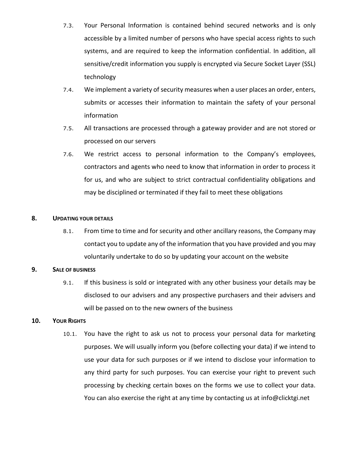- 7.3. Your Personal Information is contained behind secured networks and is only accessible by a limited number of persons who have special access rights to such systems, and are required to keep the information confidential. In addition, all sensitive/credit information you supply is encrypted via Secure Socket Layer (SSL) technology
- 7.4. We implement a variety of security measures when a user places an order, enters, submits or accesses their information to maintain the safety of your personal information
- 7.5. All transactions are processed through a gateway provider and are not stored or processed on our servers
- 7.6. We restrict access to personal information to the Company's employees, contractors and agents who need to know that information in order to process it for us, and who are subject to strict contractual confidentiality obligations and may be disciplined or terminated if they fail to meet these obligations

## **8. UPDATING YOUR DETAILS**

8.1. From time to time and for security and other ancillary reasons, the Company may contact you to update any of the information that you have provided and you may voluntarily undertake to do so by updating your account on the website

## **9. SALE OF BUSINESS**

9.1. If this business is sold or integrated with any other business your details may be disclosed to our advisers and any prospective purchasers and their advisers and will be passed on to the new owners of the business

## **10. YOUR RIGHTS**

10.1. You have the right to ask us not to process your personal data for marketing purposes. We will usually inform you (before collecting your data) if we intend to use your data for such purposes or if we intend to disclose your information to any third party for such purposes. You can exercise your right to prevent such processing by checking certain boxes on the forms we use to collect your data. You can also exercise the right at any time by contacting us at info@clicktgi.net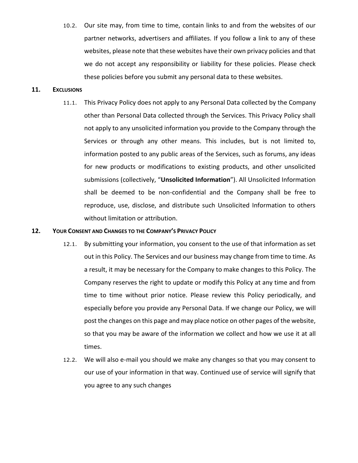10.2. Our site may, from time to time, contain links to and from the websites of our partner networks, advertisers and affiliates. If you follow a link to any of these websites, please note that these websites have their own privacy policies and that we do not accept any responsibility or liability for these policies. Please check these policies before you submit any personal data to these websites.

#### **11. EXCLUSIONS**

11.1. This Privacy Policy does not apply to any Personal Data collected by the Company other than Personal Data collected through the Services. This Privacy Policy shall not apply to any unsolicited information you provide to the Company through the Services or through any other means. This includes, but is not limited to, information posted to any public areas of the Services, such as forums, any ideas for new products or modifications to existing products, and other unsolicited submissions (collectively, "**Unsolicited Information**"). All Unsolicited Information shall be deemed to be non-confidential and the Company shall be free to reproduce, use, disclose, and distribute such Unsolicited Information to others without limitation or attribution.

#### **12. YOUR CONSENT AND CHANGES TO THE COMPANY'S PRIVACY POLICY**

- 12.1. By submitting your information, you consent to the use of that information as set out in this Policy. The Services and our business may change from time to time. As a result, it may be necessary for the Company to make changes to this Policy. The Company reserves the right to update or modify this Policy at any time and from time to time without prior notice. Please review this Policy periodically, and especially before you provide any Personal Data. If we change our Policy, we will post the changes on this page and may place notice on other pages of the website, so that you may be aware of the information we collect and how we use it at all times.
- 12.2. We will also e-mail you should we make any changes so that you may consent to our use of your information in that way. Continued use of service will signify that you agree to any such changes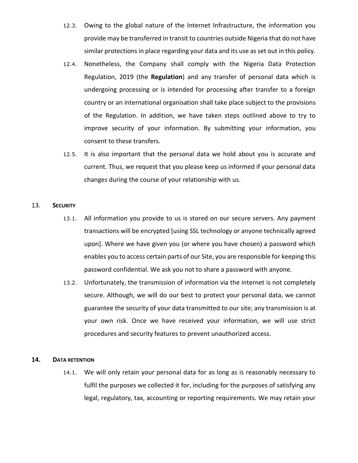- 12.3. Owing to the global nature of the Internet Infrastructure, the information you provide may be transferred in transit to countries outside Nigeria that do not have similar protections in place regarding your data and its use as set out in this policy.
- 12.4. Nonetheless, the Company shall comply with the Nigeria Data Protection Regulation, 2019 (the **Regulation**) and any transfer of personal data which is undergoing processing or is intended for processing after transfer to a foreign country or an international organisation shall take place subject to the provisions of the Regulation. In addition, we have taken steps outlined above to try to improve security of your information. By submitting your information, you consent to these transfers.
- 12.5. It is also important that the personal data we hold about you is accurate and current. Thus, we request that you please keep us informed if your personal data changes during the course of your relationship with us.

#### 13. **SECURITY**

- 13.1. All information you provide to us is stored on our secure servers. Any payment transactions will be encrypted [using SSL technology or anyone technically agreed upon]. Where we have given you (or where you have chosen) a password which enables you to access certain parts of our Site, you are responsible for keeping this password confidential. We ask you not to share a password with anyone.
- 13.2. Unfortunately, the transmission of information via the internet is not completely secure. Although, we will do our best to protect your personal data, we cannot guarantee the security of your data transmitted to our site; any transmission is at your own risk. Once we have received your information, we will use strict procedures and security features to prevent unauthorized access.

#### **14. DATA RETENTION**

14.1. We will only retain your personal data for as long as is reasonably necessary to fulfil the purposes we collected it for, including for the purposes of satisfying any legal, regulatory, tax, accounting or reporting requirements. We may retain your